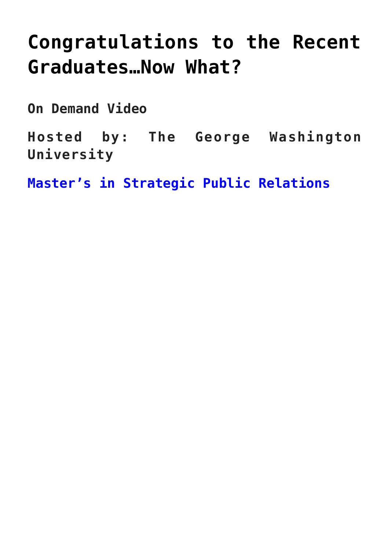# **[Congratulations to the Recent](https://www.commpro.biz/congratulations-to-the-recent-graduates-now-what/) [Graduates…Now What?](https://www.commpro.biz/congratulations-to-the-recent-graduates-now-what/)**

**On Demand Video**

**Hosted by: The George Washington University**

**[Master's in Strategic Public Relations](https://gspm.gwu.edu/strategic-public-relations)**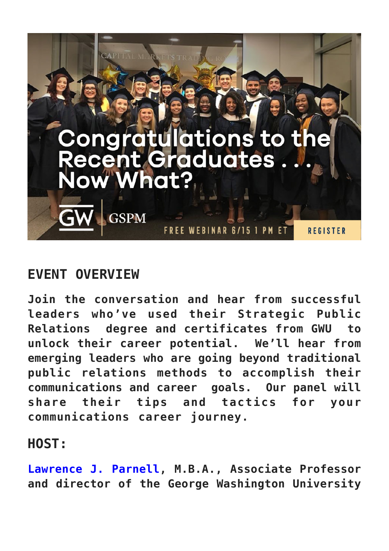

#### **EVENT OVERVIEW**

**Join the conversation and hear from successful leaders who've used their Strategic Public Relations degree and certificates from GWU to unlock their career potential. We'll hear from emerging leaders who are going beyond traditional public relations methods to accomplish their communications and career goals. Our panel will share their tips and tactics for your communications career journey.**

### **HOST:**

**[Lawrence J. Parnell,](https://www.linkedin.com/in/lawrence-j-parnell-4586a74/) M.B.A., Associate Professor and director of the George Washington University**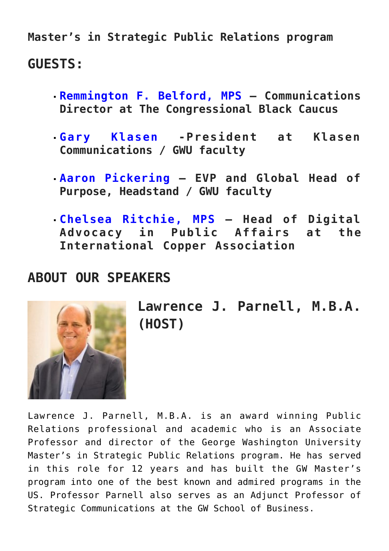**Master's in Strategic Public Relations program GUESTS:**

- **[Remmington F. Belford, MPS](https://www.linkedin.com/in/remmington-f-belford-mps-11024295/) Communications Director at The Congressional Black Caucus**
- **[Gary Klasen](https://www.linkedin.com/in/gary-klasen-4499778/) -President at Klasen Communications / GWU faculty**
- **[Aaron Pickering](https://www.linkedin.com/in/pickeringaaron/) EVP and Global Head of Purpose, Headstand / GWU faculty**
- **[Chelsea Ritchie, MPS](https://www.linkedin.com/in/chelsearitchie/) Head of Digital Advocacy in Public Affairs at the International Copper Association**

#### **ABOUT OUR SPEAKERS**



**Lawrence J. Parnell, M.B.A. (HOST)**

Lawrence J. Parnell, M.B.A. is an award winning Public Relations professional and academic who is an Associate Professor and director of the George Washington University Master's in Strategic Public Relations program. He has served in this role for 12 years and has built the GW Master's program into one of the best known and admired programs in the US. Professor Parnell also serves as an Adjunct Professor of Strategic Communications at the GW School of Business.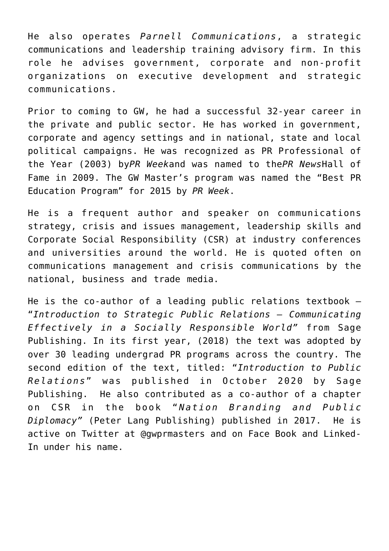He also operates *Parnell Communications*, a strategic communications and leadership training advisory firm. In this role he advises government, corporate and non-profit organizations on executive development and strategic communications.

Prior to coming to GW, he had a successful 32-year career in the private and public sector. He has worked in government, corporate and agency settings and in national, state and local political campaigns. He was recognized as PR Professional of the Year (2003) by*PR Week*and was named to the*PR News*Hall of Fame in 2009. The GW Master's program was named the "Best PR Education Program" for 2015 by *PR Week*.

He is a frequent author and speaker on communications strategy, crisis and issues management, leadership skills and Corporate Social Responsibility (CSR) at industry conferences and universities around the world. He is quoted often on communications management and crisis communications by the national, business and trade media.

He is the co-author of a leading public relations textbook – "*Introduction to Strategic Public Relations – Communicating Effectively in a Socially Responsible World"* from Sage Publishing. In its first year, (2018) the text was adopted by over 30 leading undergrad PR programs across the country. The second edition of the text, titled: "*Introduction to Public Relations*" was published in October 2020 by Sage Publishing. He also contributed as a co-author of a chapter on CSR in the book " *Nation Branding and Public Diplomacy"* (Peter Lang Publishing) published in 2017. He is active on Twitter at @gwprmasters and on Face Book and Linked-In under his name.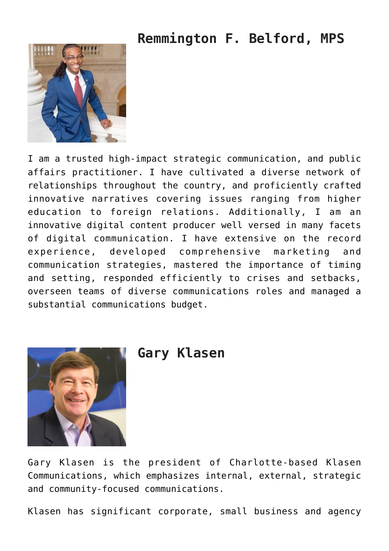### **Remmington F. Belford, MPS**



I am a trusted high-impact strategic communication, and public affairs practitioner. I have cultivated a diverse network of relationships throughout the country, and proficiently crafted innovative narratives covering issues ranging from higher education to foreign relations. Additionally, I am an innovative digital content producer well versed in many facets of digital communication. I have extensive on the record experience, developed comprehensive marketing and communication strategies, mastered the importance of timing and setting, responded efficiently to crises and setbacks, overseen teams of diverse communications roles and managed a substantial communications budget.



#### **Gary Klasen**

Gary Klasen is the president of Charlotte-based Klasen Communications, which emphasizes internal, external, strategic and community-focused communications.

Klasen has significant corporate, small business and agency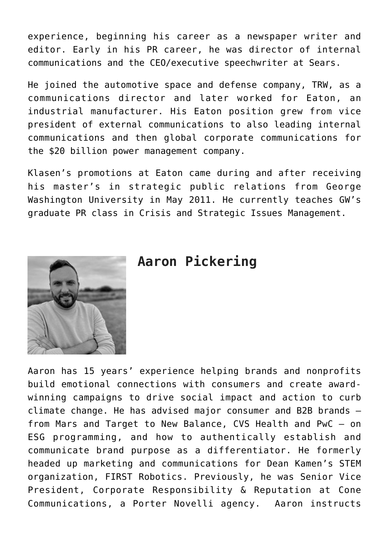experience, beginning his career as a newspaper writer and editor. Early in his PR career, he was director of internal communications and the CEO/executive speechwriter at Sears.

He joined the automotive space and defense company, TRW, as a communications director and later worked for Eaton, an industrial manufacturer. His Eaton position grew from vice president of external communications to also leading internal communications and then global corporate communications for the \$20 billion power management company.

Klasen's promotions at Eaton came during and after receiving his master's in strategic public relations from George Washington University in May 2011. He currently teaches GW's graduate PR class in Crisis and Strategic Issues Management.



#### **Aaron Pickering**

Aaron has 15 years' experience helping brands and nonprofits build emotional connections with consumers and create awardwinning campaigns to drive social impact and action to curb climate change. He has advised major consumer and B2B brands – from Mars and Target to New Balance, CVS Health and PwC – on ESG programming, and how to authentically establish and communicate brand purpose as a differentiator. He formerly headed up marketing and communications for Dean Kamen's STEM organization, FIRST Robotics. Previously, he was Senior Vice President, Corporate Responsibility & Reputation at Cone Communications, a Porter Novelli agency. Aaron instructs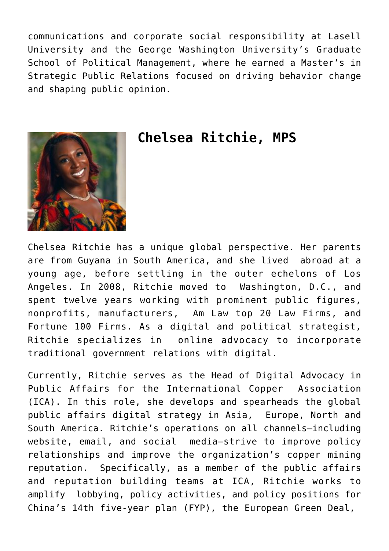communications and corporate social responsibility at Lasell University and the George Washington University's Graduate School of Political Management, where he earned a Master's in Strategic Public Relations focused on driving behavior change and shaping public opinion.



#### **Chelsea Ritchie, MPS**

Chelsea Ritchie has a unique global perspective. Her parents are from Guyana in South America, and she lived abroad at a young age, before settling in the outer echelons of Los Angeles. In 2008, Ritchie moved to Washington, D.C., and spent twelve years working with prominent public figures, nonprofits, manufacturers, Am Law top 20 Law Firms, and Fortune 100 Firms. As a digital and political strategist, Ritchie specializes in online advocacy to incorporate traditional government relations with digital.

Currently, Ritchie serves as the Head of Digital Advocacy in Public Affairs for the International Copper Association (ICA). In this role, she develops and spearheads the global public affairs digital strategy in Asia, Europe, North and South America. Ritchie's operations on all channels—including website, email, and social media—strive to improve policy relationships and improve the organization's copper mining reputation. Specifically, as a member of the public affairs and reputation building teams at ICA, Ritchie works to amplify lobbying, policy activities, and policy positions for China's 14th five-year plan (FYP), the European Green Deal,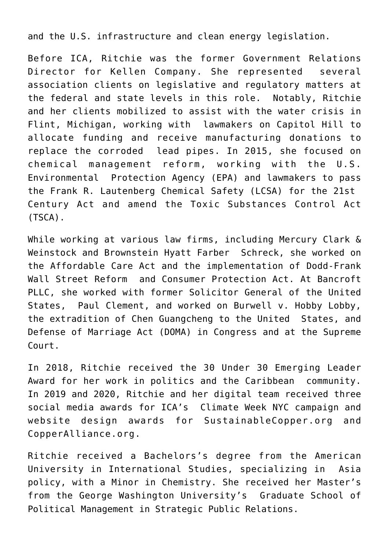and the U.S. infrastructure and clean energy legislation.

Before ICA, Ritchie was the former Government Relations Director for Kellen Company. She represented several association clients on legislative and regulatory matters at the federal and state levels in this role. Notably, Ritchie and her clients mobilized to assist with the water crisis in Flint, Michigan, working with lawmakers on Capitol Hill to allocate funding and receive manufacturing donations to replace the corroded lead pipes. In 2015, she focused on chemical management reform, working with the U.S. Environmental Protection Agency (EPA) and lawmakers to pass the Frank R. Lautenberg Chemical Safety (LCSA) for the 21st Century Act and amend the Toxic Substances Control Act (TSCA).

While working at various law firms, including Mercury Clark & Weinstock and Brownstein Hyatt Farber Schreck, she worked on the Affordable Care Act and the implementation of Dodd-Frank Wall Street Reform and Consumer Protection Act. At Bancroft PLLC, she worked with former Solicitor General of the United States, Paul Clement, and worked on Burwell v. Hobby Lobby, the extradition of Chen Guangcheng to the United States, and Defense of Marriage Act (DOMA) in Congress and at the Supreme Court.

In 2018, Ritchie received the 30 Under 30 Emerging Leader Award for her work in politics and the Caribbean community. In 2019 and 2020, Ritchie and her digital team received three social media awards for ICA's Climate Week NYC campaign and website design awards for SustainableCopper.org and CopperAlliance.org.

Ritchie received a Bachelors's degree from the American University in International Studies, specializing in Asia policy, with a Minor in Chemistry. She received her Master's from the George Washington University's Graduate School of Political Management in Strategic Public Relations.